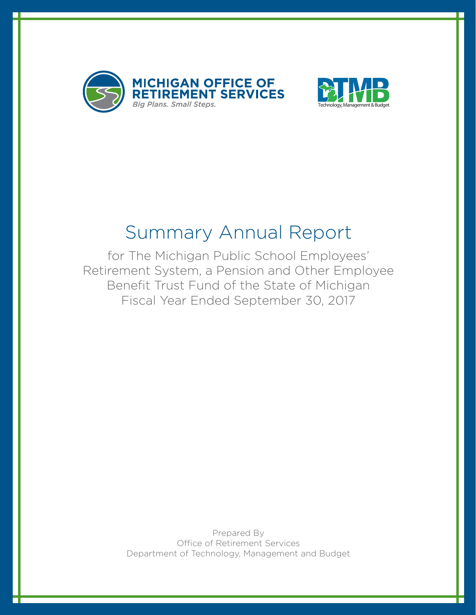



### Summary Annual Report

for The Michigan Public School Employees' Retirement System, a Pension and Other Employee Benefit Trust Fund of the State of Michigan Fiscal Year Ended September 30, 2017

> Prepared By Office of Retirement Services Department of Technology, Management and Budget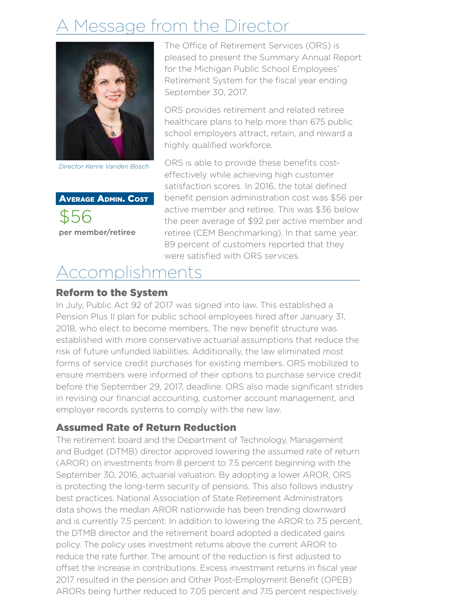# essage from the Director



*Director Kerrie Vanden Bosch*

Average Admin. Cost \$56 per member/retiree

The Office of Retirement Services (ORS) is pleased to present the Summary Annual Report for the Michigan Public School Employees' Retirement System for the fiscal year ending September 30, 2017.

ORS provides retirement and related retiree healthcare plans to help more than 675 public school employers attract, retain, and reward a highly qualified workforce.

ORS is able to provide these benefits costeffectively while achieving high customer satisfaction scores. In 2016, the total defined benefit pension administration cost was \$56 per active member and retiree. This was \$36 below the peer average of \$92 per active member and retiree (CEM Benchmarking). In that same year, 89 percent of customers reported that they were satisfied with ORS services.

# Accomplishments

#### Reform to the System

In July, Public Act 92 of 2017 was signed into law. This established a Pension Plus II plan for public school employees hired after January 31, 2018, who elect to become members. The new benefit structure was established with more conservative actuarial assumptions that reduce the risk of future unfunded liabilities. Additionally, the law eliminated most forms of service credit purchases for existing members. ORS mobilized to ensure members were informed of their options to purchase service credit before the September 29, 2017, deadline. ORS also made significant strides in revising our financial accounting, customer account management, and employer records systems to comply with the new law.

#### Assumed Rate of Return Reduction

The retirement board and the Department of Technology, Management and Budget (DTMB) director approved lowering the assumed rate of return (AROR) on investments from 8 percent to 7.5 percent beginning with the September 30, 2016, actuarial valuation. By adopting a lower AROR, ORS is protecting the long-term security of pensions. This also follows industry best practices. National Association of State Retirement Administrators data shows the median AROR nationwide has been trending downward and is currently 7.5 percent. In addition to lowering the AROR to 7.5 percent, the DTMB director and the retirement board adopted a dedicated gains policy. The policy uses investment returns above the current AROR to reduce the rate further. The amount of the reduction is first adjusted to offset the increase in contributions. Excess investment returns in fiscal year 2017 resulted in the pension and Other Post-Employment Benefit (OPEB) ARORs being further reduced to 7.05 percent and 7.15 percent respectively.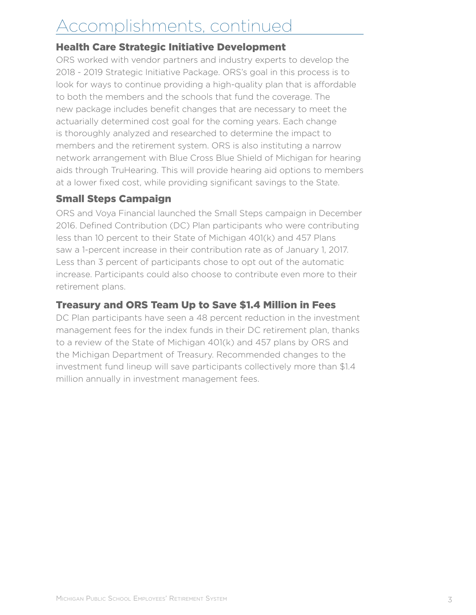# Accomplishments, continued

#### Health Care Strategic Initiative Development

ORS worked with vendor partners and industry experts to develop the 2018 - 2019 Strategic Initiative Package. ORS's goal in this process is to look for ways to continue providing a high-quality plan that is affordable to both the members and the schools that fund the coverage. The new package includes benefit changes that are necessary to meet the actuarially determined cost goal for the coming years. Each change is thoroughly analyzed and researched to determine the impact to members and the retirement system. ORS is also instituting a narrow network arrangement with Blue Cross Blue Shield of Michigan for hearing aids through TruHearing. This will provide hearing aid options to members at a lower fixed cost, while providing significant savings to the State.

#### Small Steps Campaign

ORS and Voya Financial launched the Small Steps campaign in December 2016. Defined Contribution (DC) Plan participants who were contributing less than 10 percent to their State of Michigan 401(k) and 457 Plans saw a 1-percent increase in their contribution rate as of January 1, 2017. Less than 3 percent of participants chose to opt out of the automatic increase. Participants could also choose to contribute even more to their retirement plans.

#### Treasury and ORS Team Up to Save \$1.4 Million in Fees

DC Plan participants have seen a 48 percent reduction in the investment management fees for the index funds in their DC retirement plan, thanks to a review of the State of Michigan 401(k) and 457 plans by ORS and the Michigan Department of Treasury. Recommended changes to the investment fund lineup will save participants collectively more than \$1.4 million annually in investment management fees.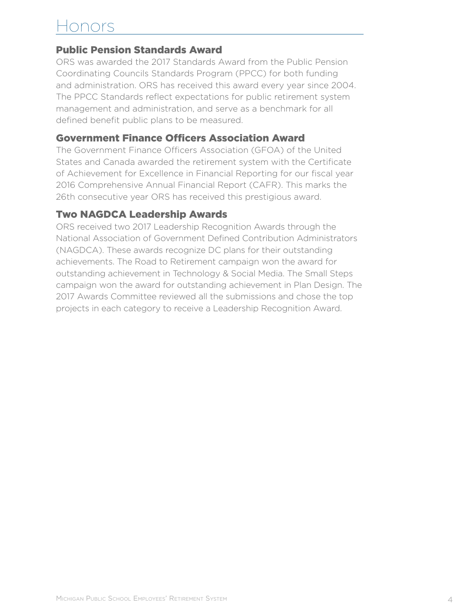### onors

#### Public Pension Standards Award

ORS was awarded the 2017 Standards Award from the Public Pension Coordinating Councils Standards Program (PPCC) for both funding and administration. ORS has received this award every year since 2004. The PPCC Standards reflect expectations for public retirement system management and administration, and serve as a benchmark for all defined benefit public plans to be measured.

#### Government Finance Officers Association Award

The Government Finance Officers Association (GFOA) of the United States and Canada awarded the retirement system with the Certificate of Achievement for Excellence in Financial Reporting for our fiscal year 2016 Comprehensive Annual Financial Report (CAFR). This marks the 26th consecutive year ORS has received this prestigious award.

#### Two NAGDCA Leadership Awards

ORS received two 2017 Leadership Recognition Awards through the National Association of Government Defined Contribution Administrators (NAGDCA). These awards recognize DC plans for their outstanding achievements. The Road to Retirement campaign won the award for outstanding achievement in Technology & Social Media. The Small Steps campaign won the award for outstanding achievement in Plan Design. The 2017 Awards Committee reviewed all the submissions and chose the top projects in each category to receive a Leadership Recognition Award.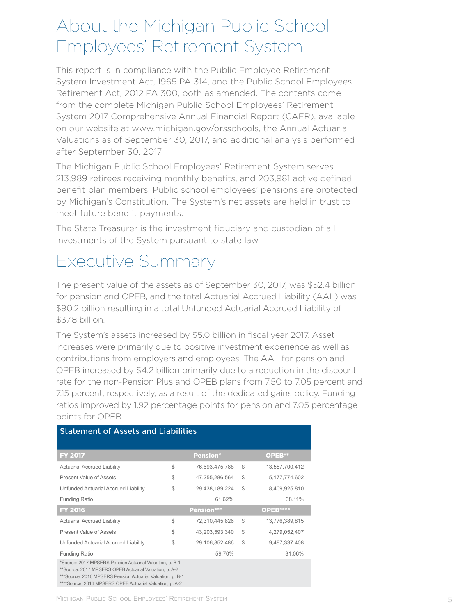### About the Michigan Public School Employees' Retirement System

This report is in compliance with the Public Employee Retirement System Investment Act, 1965 PA 314, and the Public School Employees Retirement Act, 2012 PA 300, both as amended. The contents come from the complete Michigan Public School Employees' Retirement System 2017 Comprehensive Annual Financial Report (CAFR), available on our website at www.michigan.gov/orsschools, the Annual Actuarial Valuations as of September 30, 2017, and additional analysis performed after September 30, 2017.

The Michigan Public School Employees' Retirement System serves 213,989 retirees receiving monthly benefits, and 203,981 active defined benefit plan members. Public school employees' pensions are protected by Michigan's Constitution. The System's net assets are held in trust to meet future benefit payments.

The State Treasurer is the investment fiduciary and custodian of all investments of the System pursuant to state law.

### Executive Summary

The present value of the assets as of September 30, 2017, was \$52.4 billion for pension and OPEB, and the total Actuarial Accrued Liability (AAL) was \$90.2 billion resulting in a total Unfunded Actuarial Accrued Liability of \$37.8 billion.

The System's assets increased by \$5.0 billion in fiscal year 2017. Asset increases were primarily due to positive investment experience as well as contributions from employers and employees. The AAL for pension and OPEB increased by \$4.2 billion primarily due to a reduction in the discount rate for the non-Pension Plus and OPEB plans from 7.50 to 7.05 percent and 7.15 percent, respectively, as a result of the dedicated gains policy. Funding ratios improved by 1.92 percentage points for pension and 7.05 percentage points for OPEB.

| <b>Statement of Assets and Liabilities</b>                                                                                                                                                                                                   |    |                 |    |                  |  |
|----------------------------------------------------------------------------------------------------------------------------------------------------------------------------------------------------------------------------------------------|----|-----------------|----|------------------|--|
| <b>FY 2017</b>                                                                                                                                                                                                                               |    | <b>Pension*</b> |    | OPEB**           |  |
| <b>Actuarial Accrued Liability</b>                                                                                                                                                                                                           | \$ | 76,693,475,788  | S  | 13,587,700,412   |  |
| Present Value of Assets                                                                                                                                                                                                                      | \$ | 47,255,286,564  | \$ | 5, 177, 774, 602 |  |
| Unfunded Actuarial Accrued Liability                                                                                                                                                                                                         | \$ | 29,438,189,224  | \$ | 8,409,925,810    |  |
| <b>Funding Ratio</b>                                                                                                                                                                                                                         |    | 61.62%          |    | 38.11%           |  |
| <b>FY 2016</b>                                                                                                                                                                                                                               |    | Pension***      |    | OPEB****         |  |
| <b>Actuarial Accrued Liability</b>                                                                                                                                                                                                           | \$ | 72,310,445,826  | \$ | 13,776,389,815   |  |
| Present Value of Assets                                                                                                                                                                                                                      | \$ | 43,203,593,340  | \$ | 4,279,052,407    |  |
| Unfunded Actuarial Accrued Liability                                                                                                                                                                                                         | \$ | 29,106,852,486  | \$ | 9,497,337,408    |  |
| <b>Funding Ratio</b>                                                                                                                                                                                                                         |    | 59.70%          |    | 31.06%           |  |
| *Source: 2017 MPSERS Pension Actuarial Valuation, p. B-1<br>**Source: 2017 MPSERS OPEB Actuarial Valuation, p. A-2<br>***Source: 2016 MPSERS Pension Actuarial Valuation, p. B-1<br>****Source: 2016 MPSERS OPEB Actuarial Valuation, p. A-2 |    |                 |    |                  |  |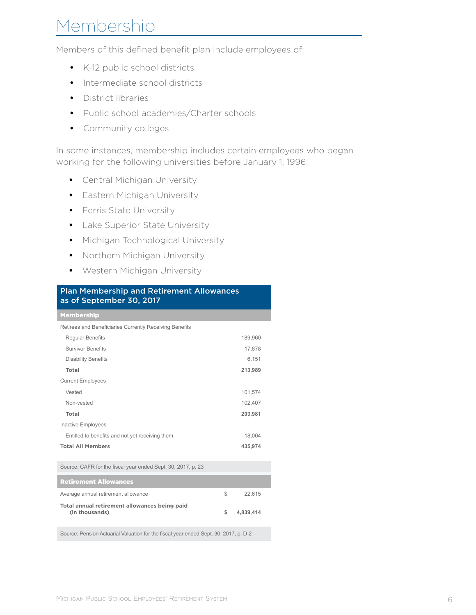# Membership

Members of this defined benefit plan include employees of:

- K-12 public school districts
- Intermediate school districts
- District libraries
- Public school academies/Charter schools
- Community colleges

In some instances, membership includes certain employees who began working for the following universities before January 1, 1996:

- Central Michigan University
- Eastern Michigan University
- Ferris State University
- Lake Superior State University
- Michigan Technological University
- Northern Michigan University
- Western Michigan University

| <b>Plan Membership and Retirement Allowances</b><br>as of September 30, 2017 |    |           |  |  |
|------------------------------------------------------------------------------|----|-----------|--|--|
| <b>Membership</b>                                                            |    |           |  |  |
| Retirees and Beneficiaries Currently Receiving Benefits                      |    |           |  |  |
| <b>Regular Benefits</b>                                                      |    | 189,960   |  |  |
| <b>Survivor Benefits</b>                                                     |    | 17,878    |  |  |
| <b>Disability Benefits</b>                                                   |    | 6.151     |  |  |
| Total                                                                        |    | 213,989   |  |  |
| <b>Current Employees</b>                                                     |    |           |  |  |
| Vested                                                                       |    | 101,574   |  |  |
| Non-vested                                                                   |    | 102,407   |  |  |
| Total                                                                        |    | 203,981   |  |  |
| Inactive Employees                                                           |    |           |  |  |
| Entitled to benefits and not yet receiving them                              |    | 18,004    |  |  |
| <b>Total All Members</b>                                                     |    | 435,974   |  |  |
| Source: CAFR for the fiscal year ended Sept. 30, 2017, p. 23                 |    |           |  |  |
| <b>Retirement Allowances</b>                                                 |    |           |  |  |
| Average annual retirement allowance                                          | \$ | 22,615    |  |  |
| Total annual retirement allowances being paid<br>(in thousands)              | \$ | 4,839,414 |  |  |

Source: Pension Actuarial Valuation for the fiscal year ended Sept. 30, 2017, p. D-2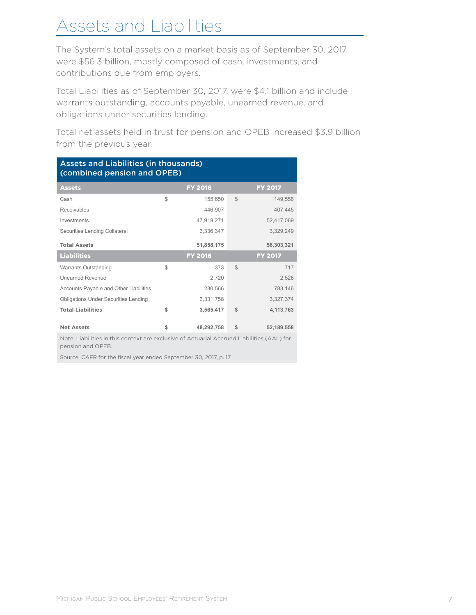# Assets and Liabilities

The System's total assets on a market basis as of September 30, 2017, were \$56.3 billion, mostly composed of cash, investments, and contributions due from employers.

Total Liabilities as of September 30, 2017, were \$4.1 billion and include warrants outstanding, accounts payable, unearned revenue, and obligations under securities lending.

Total net assets held in trust for pension and OPEB increased \$3.9 billion from the previous year.

| <b>Assets and Liabilities (in thousands)</b><br>(combined pension and OPEB) |    |                |              |                |  |
|-----------------------------------------------------------------------------|----|----------------|--------------|----------------|--|
| <b>Assets</b>                                                               |    | <b>FY 2016</b> |              | <b>FY 2017</b> |  |
| Cash                                                                        | \$ | 155,650        | $\mathbb{S}$ | 149,556        |  |
| Receivables                                                                 |    | 446,907        |              | 407,445        |  |
| Investments                                                                 |    | 47,919,271     |              | 52,417,069     |  |
| Securities Lending Collateral                                               |    | 3,336,347      |              | 3,329,249      |  |
| <b>Total Assets</b>                                                         |    | 51,858,175     |              | 56,303,321     |  |
| <b>Liabilities</b>                                                          |    | <b>FY 2016</b> |              | <b>FY 2017</b> |  |
| <b>Warrants Outstanding</b>                                                 | \$ | 373            | $\mathbb{S}$ | 717            |  |
| <b>Unearned Revenue</b>                                                     |    | 2,720          |              | 2,526          |  |
| Accounts Payable and Other Liabilities                                      |    | 230,566        |              | 783,146        |  |
| <b>Obligations Under Securities Lending</b>                                 |    | 3,331,758      |              | 3,327,374      |  |
| <b>Total Liabilities</b>                                                    | \$ | 3,565,417      | \$           | 4,113,763      |  |
| <b>Net Assets</b>                                                           | \$ | 48,292,758     | \$           | 52,189,558     |  |

Note: Liabilities in this context are exclusive of Actuarial Accrued Liabilities (AAL) for pension and OPEB.

Source: CAFR for the fiscal year ended September 30, 2017, p. 17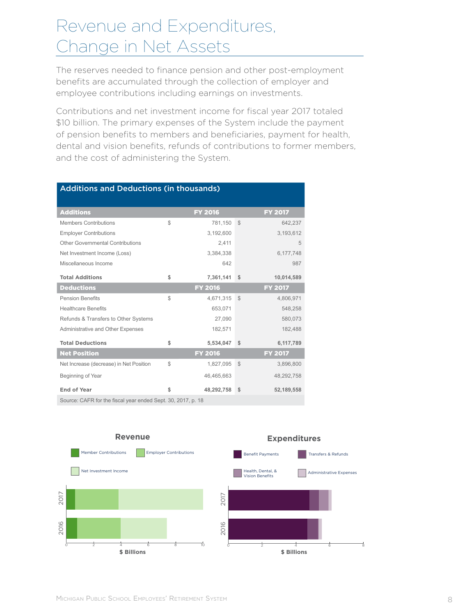### Revenue and Expenditures, Change in Net Assets

The reserves needed to finance pension and other post-employment benefits are accumulated through the collection of employer and employee contributions including earnings on investments.

Contributions and net investment income for fiscal year 2017 totaled \$10 billion. The primary expenses of the System include the payment of pension benefits to members and beneficiaries, payment for health, dental and vision benefits, refunds of contributions to former members, and the cost of administering the System.

| <b>Additions and Deductions (in thousands)</b>               |    |                |              |                |  |
|--------------------------------------------------------------|----|----------------|--------------|----------------|--|
| <b>Additions</b>                                             |    | <b>FY 2016</b> |              | <b>FY 2017</b> |  |
| <b>Members Contributions</b>                                 | \$ | 781,150        | $\mathbb{S}$ | 642,237        |  |
| <b>Employer Contributions</b>                                |    | 3,192,600      |              | 3,193,612      |  |
| Other Governmental Contributions                             |    | 2,411          |              | 5              |  |
| Net Investment Income (Loss)                                 |    | 3,384,338      |              | 6,177,748      |  |
| Miscellaneous Income                                         |    | 642            |              | 987            |  |
| <b>Total Additions</b>                                       | \$ | 7,361,141      | \$           | 10,014,589     |  |
| <b>Deductions</b>                                            |    | <b>FY 2016</b> |              | <b>FY 2017</b> |  |
| <b>Pension Benefits</b>                                      | \$ | 4,671,315      | $\mathbb{S}$ | 4,806,971      |  |
| <b>Healthcare Benefits</b>                                   |    | 653,071        |              | 548,258        |  |
| Refunds & Transfers to Other Systems                         |    | 27,090         |              | 580,073        |  |
| Administrative and Other Expenses                            |    | 182,571        |              | 182,488        |  |
| <b>Total Deductions</b>                                      | \$ | 5,534,047      | \$           | 6,117,789      |  |
| <b>Net Position</b>                                          |    | <b>FY 2016</b> |              | <b>FY 2017</b> |  |
| Net Increase (decrease) in Net Position                      | \$ | 1,827,095      | $\mathbb{S}$ | 3,896,800      |  |
| Beginning of Year                                            |    | 46,465,663     |              | 48,292,758     |  |
| End of Year                                                  | \$ | 48,292,758     | \$           | 52,189,558     |  |
| Source: CAFR for the fiscal year ended Sept. 30, 2017, p. 18 |    |                |              |                |  |

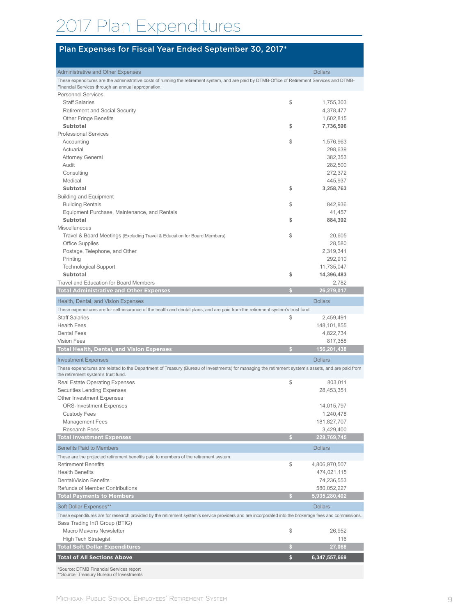# 017 Plan Expenditures

#### Plan Expenses for Fiscal Year Ended September 30, 2017\*

| <b>Administrative and Other Expenses</b><br>These expenditures are the administrative costs of running the retirement system, and are paid by DTMB-Office of Retirement Services and DTMB- |    | <b>Dollars</b>           |
|--------------------------------------------------------------------------------------------------------------------------------------------------------------------------------------------|----|--------------------------|
| Financial Services through an annual appropriation.                                                                                                                                        |    |                          |
| <b>Personnel Services</b>                                                                                                                                                                  |    |                          |
| <b>Staff Salaries</b>                                                                                                                                                                      | \$ | 1,755,303                |
| <b>Retirement and Social Security</b>                                                                                                                                                      |    | 4,378,477                |
| <b>Other Fringe Benefits</b>                                                                                                                                                               |    | 1,602,815                |
| <b>Subtotal</b>                                                                                                                                                                            | \$ | 7,736,596                |
| <b>Professional Services</b>                                                                                                                                                               |    |                          |
| Accounting                                                                                                                                                                                 | \$ | 1,576,963                |
| Actuarial                                                                                                                                                                                  |    | 298,639                  |
| <b>Attorney General</b>                                                                                                                                                                    |    | 382,353                  |
| Audit<br>Consulting                                                                                                                                                                        |    | 282,500<br>272,372       |
| Medical                                                                                                                                                                                    |    | 445,937                  |
| <b>Subtotal</b>                                                                                                                                                                            | \$ | 3,258,763                |
| <b>Building and Equipment</b>                                                                                                                                                              |    |                          |
| <b>Building Rentals</b>                                                                                                                                                                    | \$ | 842,936                  |
| Equipment Purchase, Maintenance, and Rentals                                                                                                                                               |    | 41,457                   |
| <b>Subtotal</b>                                                                                                                                                                            | \$ | 884,392                  |
| Miscellaneous                                                                                                                                                                              |    |                          |
| Travel & Board Meetings (Excluding Travel & Education for Board Members)                                                                                                                   | \$ | 20,605                   |
| <b>Office Supplies</b>                                                                                                                                                                     |    | 28,580                   |
| Postage, Telephone, and Other                                                                                                                                                              |    | 2,319,341                |
| Printing                                                                                                                                                                                   |    | 292,910                  |
| <b>Technological Support</b>                                                                                                                                                               |    | 11,735,047               |
| <b>Subtotal</b>                                                                                                                                                                            | \$ | 14,396,483               |
| Travel and Education for Board Members                                                                                                                                                     |    | 2.782                    |
| <b>Total Administrative and Other Expenses</b>                                                                                                                                             | S  | 26,279,017               |
| Health, Dental, and Vision Expenses                                                                                                                                                        |    | <b>Dollars</b>           |
| These expenditures are for self-insurance of the health and dental plans, and are paid from the retirement system's trust fund.                                                            |    |                          |
| <b>Staff Salaries</b>                                                                                                                                                                      | \$ | 2,459,491                |
| <b>Health Fees</b>                                                                                                                                                                         |    | 148,101,855              |
| <b>Dental Fees</b>                                                                                                                                                                         |    | 4,822,734                |
| <b>Vision Fees</b>                                                                                                                                                                         |    | 817,358                  |
| <b>Total Health, Dental, and Vision Expenses</b>                                                                                                                                           |    | 156,201,438              |
| <b>Investment Expenses</b>                                                                                                                                                                 |    | <b>Dollars</b>           |
| These expenditures are related to the Department of Treasury (Bureau of Investments) for managing the retirement system's assets, and are paid from                                        |    |                          |
| the retirement system's trust fund.                                                                                                                                                        |    |                          |
| Real Estate Operating Expenses                                                                                                                                                             | \$ | 803,011                  |
| Securities Lending Expenses                                                                                                                                                                |    | 28,453,351               |
| <b>Other Investment Expenses</b>                                                                                                                                                           |    |                          |
| <b>ORS-Investment Expenses</b>                                                                                                                                                             |    | 14,015,797               |
| <b>Custody Fees</b><br><b>Management Fees</b>                                                                                                                                              |    | 1,240,478<br>181,827,707 |
| Research Fees                                                                                                                                                                              |    | 3,429,400                |
| <b>Total Investment Expenses</b>                                                                                                                                                           | s  | 229,769,745              |
|                                                                                                                                                                                            |    |                          |
| <b>Benefits Paid to Members</b>                                                                                                                                                            |    | <b>Dollars</b>           |
| These are the projected retirement benefits paid to members of the retirement system.                                                                                                      |    |                          |
| <b>Retirement Benefits</b>                                                                                                                                                                 | \$ | 4,806,970,507            |
| <b>Health Benefits</b>                                                                                                                                                                     |    | 474,021,115              |
| Dental/Vision Benefits                                                                                                                                                                     |    | 74,236,553               |
| Refunds of Member Contributions                                                                                                                                                            |    | 580,052,227              |
| <b>Total Payments to Members</b>                                                                                                                                                           | G. | 5,935,280,402            |
| Soft Dollar Expenses**                                                                                                                                                                     |    | <b>Dollars</b>           |
| These expenditures are for research provided by the retirement system's service providers and are incorporated into the brokerage fees and commissions.                                    |    |                          |
| Bass Trading Int'l Group (BTIG)                                                                                                                                                            |    |                          |
| Macro Mavens Newsletter                                                                                                                                                                    | \$ | 26,952                   |
| <b>High Tech Strategist</b>                                                                                                                                                                |    | 116                      |
| <b>Total Soft Dollar Expenditures</b>                                                                                                                                                      | S  | 27,068                   |
| <b>Total of All Sections Above</b>                                                                                                                                                         | \$ | 6,347,557,669            |
| *Source: DTMB Financial Services report<br>** Source: Treasury Bureau of Investments                                                                                                       |    |                          |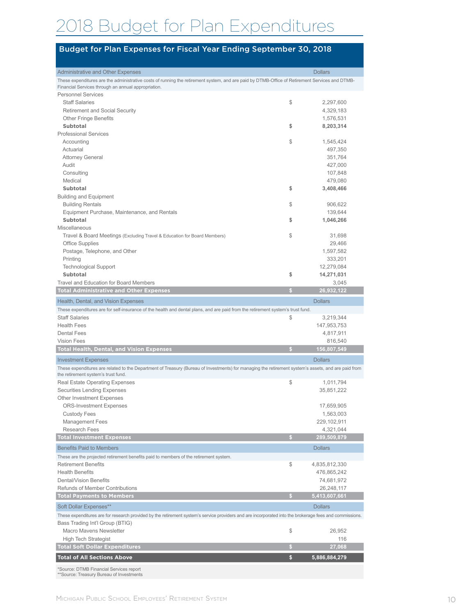# 2018 Budget for Plan Expenditures

#### Budget for Plan Expenses for Fiscal Year Ending September 30, 2018

| <b>Administrative and Other Expenses</b>                                                                                                                                                              |    | <b>Dollars</b>       |
|-------------------------------------------------------------------------------------------------------------------------------------------------------------------------------------------------------|----|----------------------|
| These expenditures are the administrative costs of running the retirement system, and are paid by DTMB-Office of Retirement Services and DTMB-<br>Financial Services through an annual appropriation. |    |                      |
| <b>Personnel Services</b>                                                                                                                                                                             |    |                      |
| <b>Staff Salaries</b>                                                                                                                                                                                 | \$ | 2,297,600            |
| <b>Retirement and Social Security</b>                                                                                                                                                                 |    | 4,329,183            |
| <b>Other Fringe Benefits</b>                                                                                                                                                                          |    | 1,576,531            |
| Subtotal                                                                                                                                                                                              | \$ | 8,203,314            |
| <b>Professional Services</b>                                                                                                                                                                          |    |                      |
| Accounting                                                                                                                                                                                            | \$ | 1,545,424            |
| Actuarial                                                                                                                                                                                             |    | 497,350              |
| <b>Attorney General</b>                                                                                                                                                                               |    | 351,764              |
| Audit                                                                                                                                                                                                 |    | 427,000              |
| Consulting                                                                                                                                                                                            |    | 107,848              |
| Medical                                                                                                                                                                                               |    | 479,080              |
| Subtotal                                                                                                                                                                                              | \$ | 3,408,466            |
| <b>Building and Equipment</b>                                                                                                                                                                         |    |                      |
| <b>Building Rentals</b>                                                                                                                                                                               | \$ | 906,622              |
| Equipment Purchase, Maintenance, and Rentals                                                                                                                                                          |    | 139,644              |
| <b>Subtotal</b>                                                                                                                                                                                       | \$ | 1,046,266            |
| Miscellaneous                                                                                                                                                                                         | \$ |                      |
| Travel & Board Meetings (Excluding Travel & Education for Board Members)<br><b>Office Supplies</b>                                                                                                    |    | 31,698               |
|                                                                                                                                                                                                       |    | 29,466<br>1,597,582  |
| Postage, Telephone, and Other<br>Printing                                                                                                                                                             |    | 333,201              |
| <b>Technological Support</b>                                                                                                                                                                          |    | 12,279,084           |
| Subtotal                                                                                                                                                                                              | \$ | 14,271,031           |
| Travel and Education for Board Members                                                                                                                                                                |    | 3.045                |
| <b>Total Administrative and Other Expenses</b>                                                                                                                                                        | s  | 26,932,122           |
|                                                                                                                                                                                                       |    |                      |
| Health, Dental, and Vision Expenses                                                                                                                                                                   |    | <b>Dollars</b>       |
| These expenditures are for self-insurance of the health and dental plans, and are paid from the retirement system's trust fund.                                                                       |    |                      |
| <b>Staff Salaries</b><br><b>Health Fees</b>                                                                                                                                                           | \$ | 3,219,344            |
| <b>Dental Fees</b>                                                                                                                                                                                    |    | 147,953,753          |
| <b>Vision Fees</b>                                                                                                                                                                                    |    | 4,817,911<br>816,540 |
| <b>Total Health, Dental, and Vision Expenses</b>                                                                                                                                                      | s  | 156,807,549          |
| <b>Investment Expenses</b>                                                                                                                                                                            |    | <b>Dollars</b>       |
| These expenditures are related to the Department of Treasury (Bureau of Investments) for managing the retirement system's assets, and are paid from                                                   |    |                      |
| the retirement system's trust fund.                                                                                                                                                                   |    |                      |
| Real Estate Operating Expenses                                                                                                                                                                        | \$ | 1,011,794            |
| <b>Securities Lending Expenses</b>                                                                                                                                                                    |    | 35,851,222           |
| <b>Other Investment Expenses</b>                                                                                                                                                                      |    |                      |
| <b>ORS-Investment Expenses</b>                                                                                                                                                                        |    | 17,659,905           |
| <b>Custody Fees</b>                                                                                                                                                                                   |    | 1,563,003            |
| <b>Management Fees</b>                                                                                                                                                                                |    | 229,102,911          |
| <b>Research Fees</b>                                                                                                                                                                                  |    | 4,321,044            |
| <b>Total Investment Expenses</b>                                                                                                                                                                      | s. | 289,509,879          |
| <b>Benefits Paid to Members</b>                                                                                                                                                                       |    | <b>Dollars</b>       |
| These are the projected retirement benefits paid to members of the retirement system.                                                                                                                 |    |                      |
| <b>Retirement Benefits</b>                                                                                                                                                                            | \$ | 4,835,812,330        |
| <b>Health Benefits</b>                                                                                                                                                                                |    | 476,865,242          |
| Dental/Vision Benefits                                                                                                                                                                                |    | 74,681,972           |
| Refunds of Member Contributions                                                                                                                                                                       |    | 26,248,117           |
| <b>Total Payments to Members</b>                                                                                                                                                                      | s  | 5,413,607,661        |
| Soft Dollar Expenses**                                                                                                                                                                                |    | <b>Dollars</b>       |
| These expenditures are for research provided by the retirement system's service providers and are incorporated into the brokerage fees and commissions.                                               |    |                      |
| Bass Trading Int'l Group (BTIG)                                                                                                                                                                       |    |                      |
| Macro Mavens Newsletter                                                                                                                                                                               | \$ | 26,952               |
| <b>High Tech Strategist</b>                                                                                                                                                                           |    | 116                  |
| <b>Total Soft Dollar Expenditures</b>                                                                                                                                                                 | s  | 27,068               |
| <b>Total of All Sections Above</b>                                                                                                                                                                    | \$ | 5,886,884,279        |
|                                                                                                                                                                                                       |    |                      |
| *Source: DTMB Financial Services report<br>** Source: Treasury Bureau of Investments                                                                                                                  |    |                      |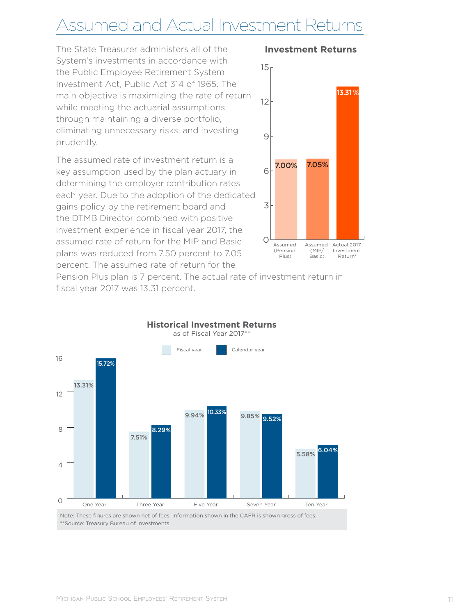# Assumed and Actual Investment Returns

The State Treasurer administers all of the System's investments in accordance with the Public Employee Retirement System Investment Act, Public Act 314 of 1965. The main objective is maximizing the rate of return while meeting the actuarial assumptions through maintaining a diverse portfolio, eliminating unnecessary risks, and investing prudently.

The assumed rate of investment return is a key assumption used by the plan actuary in determining the employer contribution rates each year. Due to the adoption of the dedicated gains policy by the retirement board and the DTMB Director combined with positive investment experience in fiscal year 2017, the assumed rate of return for the MIP and Basic plans was reduced from 7.50 percent to 7.05 percent. The assumed rate of return for the



**Investment Returns**

Pension Plus plan is 7 percent. The actual rate of investment return in fiscal year 2017 was 13.31 percent.



Note: These figures are shown net of fees. Information shown in the CAFR is shown gross of fees. \*\*Source: Treasury Bureau of Investments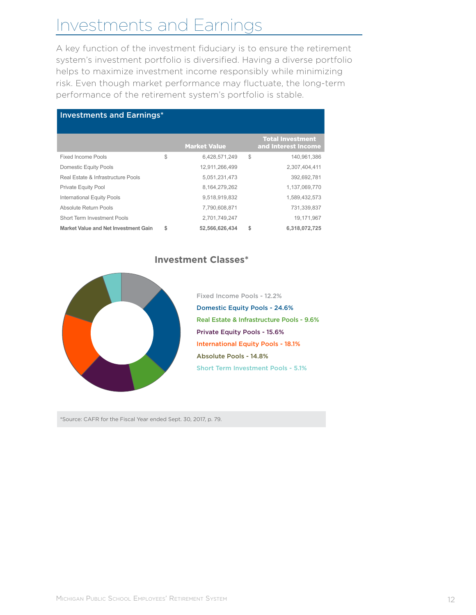# Investments and Earnings

A key function of the investment fiduciary is to ensure the retirement system's investment portfolio is diversified. Having a diverse portfolio helps to maximize investment income responsibly while minimizing risk. Even though market performance may fluctuate, the long-term performance of the retirement system's portfolio is stable.

| <b>Investments and Earnings*</b>     |    |                     |    |                                                |  |
|--------------------------------------|----|---------------------|----|------------------------------------------------|--|
|                                      |    | <b>Market Value</b> |    | <b>Total Investment</b><br>and Interest Income |  |
| <b>Fixed Income Pools</b>            | \$ | 6,428,571,249       | S  | 140.961.386                                    |  |
| Domestic Equity Pools                |    | 12,911,266,499      |    | 2,307,404,411                                  |  |
| Real Estate & Infrastructure Pools   |    | 5,051,231,473       |    | 392,692,781                                    |  |
| <b>Private Equity Pool</b>           |    | 8,164,279,262       |    | 1,137,069,770                                  |  |
| <b>International Equity Pools</b>    |    | 9,518,919,832       |    | 1,589,432,573                                  |  |
| Absolute Return Pools                |    | 7,790,608,871       |    | 731,339,837                                    |  |
| Short Term Investment Pools          |    | 2,701,749,247       |    | 19,171,967                                     |  |
| Market Value and Net Investment Gain | \$ | 52,566,626,434      | \$ | 6,318,072,725                                  |  |

**Investment Classes\***

Domestic Equity Pools - 24.6% Private Equity Pools - 15.6% International Equity Pools - 18.1% Real Estate & Infrastructure Pools - 9.6% Absolute Pools - 14.8% Short Term Investment Pools - 5.1% Fixed Income Pools - 12.2%

\*Source: CAFR for the Fiscal Year ended Sept. 30, 2017, p. 79.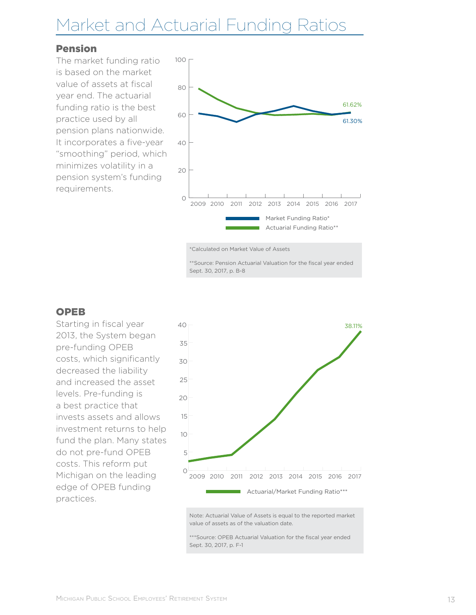# Market and Actuarial Funding Ratios

#### Pension

The market funding ratio is based on the market value of assets at fiscal year end. The actuarial funding ratio is the best practice used by all pension plans nationwide. It incorporates a five-year "smoothing" period, which minimizes volatility in a pension system's funding requirements.



\*Calculated on Market Value of Assets

\*\*Source: Pension Actuarial Valuation for the fiscal year ended Sept. 30, 2017, p. B-8

#### OPEB

Starting in fiscal year 2013, the System began pre-funding OPEB costs, which significantly decreased the liability and increased the asset levels. Pre-funding is a best practice that invests assets and allows investment returns to help fund the plan. Many states do not pre-fund OPEB costs. This reform put Michigan on the leading edge of OPEB funding practices.



Note: Actuarial Value of Assets is equal to the reported market value of assets as of the valuation date.

\*\*\*Source: OPEB Actuarial Valuation for the fiscal year ended Sept. 30, 2017, p. F-1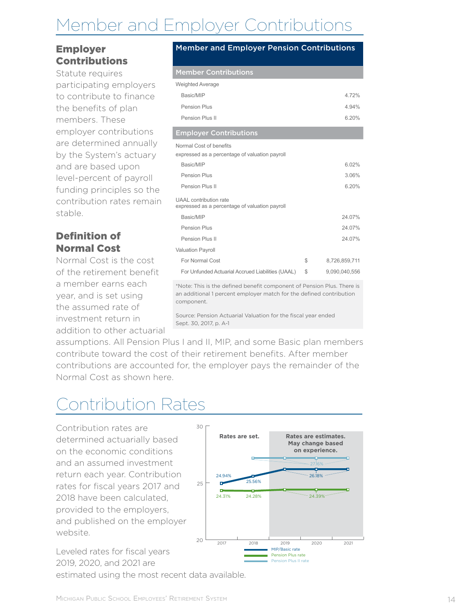# Member and Employer Contributions

#### Employer Contributions

Statute requires participating employers to contribute to finance the benefits of plan members. These employer contributions are determined annually by the System's actuary and are based upon level-percent of payroll funding principles so the contribution rates remain stable.

### Definition of Normal Cost

Normal Cost is the cost of the retirement benefit a member earns each year, and is set using the assumed rate of investment return in addition to other actuarial

#### Member and Employer Pension Contributions

### Member Contributions

| <b>Weighted Average</b>                                                                                                                       |                     |
|-----------------------------------------------------------------------------------------------------------------------------------------------|---------------------|
| Basic/MIP                                                                                                                                     | 4.72%               |
| Pension Plus                                                                                                                                  | 4.94%               |
| Pension Plus II                                                                                                                               | 6.20%               |
| <b>Employer Contributions</b>                                                                                                                 |                     |
| Normal Cost of benefits<br>expressed as a percentage of valuation payroll                                                                     |                     |
| Basic/MIP                                                                                                                                     | 6.02%               |
| Pension Plus                                                                                                                                  | 3.06%               |
| Pension Plus II                                                                                                                               | 6.20%               |
| UAAL contribution rate<br>expressed as a percentage of valuation payroll                                                                      |                     |
| Basic/MIP                                                                                                                                     | 24.07%              |
| Pension Plus                                                                                                                                  | 24.07%              |
| Pension Plus II                                                                                                                               | 24.07%              |
| <b>Valuation Payroll</b>                                                                                                                      |                     |
| For Normal Cost                                                                                                                               | \$<br>8,726,859,711 |
| For Unfunded Actuarial Accrued Liabilities (UAAL)                                                                                             | \$<br>9.090.040.556 |
| *Note: This is the defined benefit component of Pension Plus. There is<br>an additional 1 nercent employer match for the defined contribution |                     |

an additional 1 percent employer match for the defined contribution component.

Source: Pension Actuarial Valuation for the fiscal year ended Sept. 30, 2017, p. A-1

assumptions. All Pension Plus I and II, MIP, and some Basic plan members contribute toward the cost of their retirement benefits. After member contributions are accounted for, the employer pays the remainder of the Normal Cost as shown here.

# Contribution Rates

Contribution rates are determined actuarially based on the economic conditions and an assumed investment return each year. Contribution rates for fiscal years 2017 and 2018 have been calculated, provided to the employers, and published on the employer website.

Leveled rates for fiscal years 2019, 2020, and 2021 are estimated using the most recent data available.

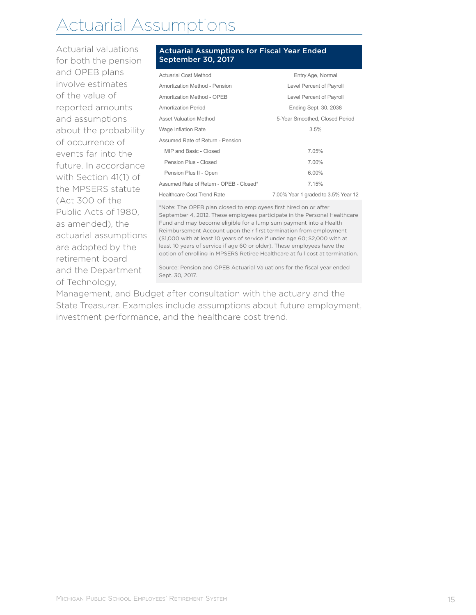# Actuarial Assumptions

Actuarial valuations for both the pension and OPEB plans involve estimates of the value of reported amounts and assumptions about the probability of occurrence of events far into the future. In accordance with Section 41(1) of the MPSERS statute (Act 300 of the Public Acts of 1980, as amended), the actuarial assumptions are adopted by the retirement board and the Department of Technology,

#### Actuarial Assumptions for Fiscal Year Ended September 30, 2017

| <b>Actuarial Cost Method</b>                                                                                                                                                                                                                                                                                                                                                                                                                                                                                                        | Entry Age, Normal                   |  |  |  |
|-------------------------------------------------------------------------------------------------------------------------------------------------------------------------------------------------------------------------------------------------------------------------------------------------------------------------------------------------------------------------------------------------------------------------------------------------------------------------------------------------------------------------------------|-------------------------------------|--|--|--|
| Amortization Method - Pension                                                                                                                                                                                                                                                                                                                                                                                                                                                                                                       | Level Percent of Payroll            |  |  |  |
| Amortization Method - OPEB                                                                                                                                                                                                                                                                                                                                                                                                                                                                                                          | Level Percent of Payroll            |  |  |  |
| <b>Amortization Period</b>                                                                                                                                                                                                                                                                                                                                                                                                                                                                                                          | <b>Ending Sept. 30, 2038</b>        |  |  |  |
| <b>Asset Valuation Method</b>                                                                                                                                                                                                                                                                                                                                                                                                                                                                                                       | 5-Year Smoothed, Closed Period      |  |  |  |
| Wage Inflation Rate                                                                                                                                                                                                                                                                                                                                                                                                                                                                                                                 | 3.5%                                |  |  |  |
| Assumed Rate of Return - Pension                                                                                                                                                                                                                                                                                                                                                                                                                                                                                                    |                                     |  |  |  |
| MIP and Basic - Closed                                                                                                                                                                                                                                                                                                                                                                                                                                                                                                              | 7.05%                               |  |  |  |
| Pension Plus - Closed                                                                                                                                                                                                                                                                                                                                                                                                                                                                                                               | 7.00%                               |  |  |  |
| Pension Plus II - Open                                                                                                                                                                                                                                                                                                                                                                                                                                                                                                              | 6.00%                               |  |  |  |
| Assumed Rate of Return - OPEB - Closed*                                                                                                                                                                                                                                                                                                                                                                                                                                                                                             | 7.15%                               |  |  |  |
| <b>Healthcare Cost Trend Rate</b>                                                                                                                                                                                                                                                                                                                                                                                                                                                                                                   | 7.00% Year 1 graded to 3.5% Year 12 |  |  |  |
| *Note: The OPEB plan closed to employees first hired on or after<br>September 4, 2012. These employees participate in the Personal Healthcare<br>Fund and may become eligible for a lump sum payment into a Health<br>Reimbursement Account upon their first termination from employment<br>(\$1,000 with at least 10 years of service if under age 60; \$2,000 with at<br>least 10 years of service if age 60 or older). These employees have the<br>option of enrolling in MPSERS Retiree Healthcare at full cost at termination. |                                     |  |  |  |
| Source: Pension and OPEB Actuarial Valuations for the fiscal year ended<br>Sept. 30, 2017.                                                                                                                                                                                                                                                                                                                                                                                                                                          |                                     |  |  |  |

Management, and Budget after consultation with the actuary and the State Treasurer. Examples include assumptions about future employment, investment performance, and the healthcare cost trend.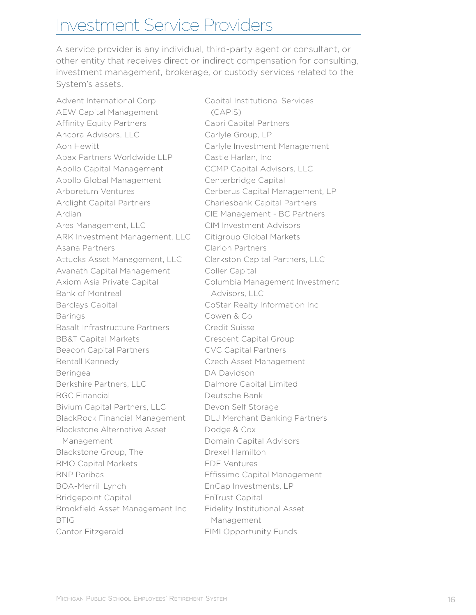# Investment Service Providers

A service provider is any individual, third-party agent or consultant, or other entity that receives direct or indirect compensation for consulting, investment management, brokerage, or custody services related to the System's assets.

Advent International Corp AEW Capital Management Affinity Equity Partners Ancora Advisors, LLC Aon Hewitt Apax Partners Worldwide LLP Apollo Capital Management Apollo Global Management Arboretum Ventures Arclight Capital Partners Ardian Ares Management, LLC ARK Investment Management, LLC Asana Partners Attucks Asset Management, LLC Avanath Capital Management Axiom Asia Private Capital Bank of Montreal Barclays Capital Barings Basalt Infrastructure Partners BB&T Capital Markets Beacon Capital Partners Bentall Kennedy Beringea Berkshire Partners, LLC BGC Financial Bivium Capital Partners, LLC BlackRock Financial Management Blackstone Alternative Asset Management Blackstone Group, The BMO Capital Markets BNP Paribas BOA-Merrill Lynch Bridgepoint Capital Brookfield Asset Management Inc BTIG Cantor Fitzgerald

Capital Institutional Services (CAPIS) Capri Capital Partners Carlyle Group, LP Carlyle Investment Management Castle Harlan, Inc CCMP Capital Advisors, LLC Centerbridge Capital Cerberus Capital Management, LP Charlesbank Capital Partners CIE Management - BC Partners CIM Investment Advisors Citigroup Global Markets Clarion Partners Clarkston Capital Partners, LLC Coller Capital Columbia Management Investment Advisors, LLC CoStar Realty Information Inc Cowen & Co Credit Suisse Crescent Capital Group CVC Capital Partners Czech Asset Management DA Davidson Dalmore Capital Limited Deutsche Bank Devon Self Storage DLJ Merchant Banking Partners Dodge & Cox Domain Capital Advisors Drexel Hamilton EDF Ventures Effissimo Capital Management EnCap Investments, LP EnTrust Capital Fidelity Institutional Asset Management FIMI Opportunity Funds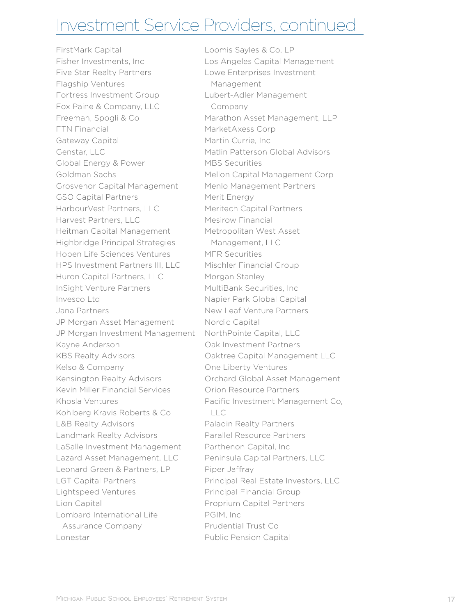### Investment Service Providers, continued

FirstMark Capital Fisher Investments, Inc Five Star Realty Partners Flagship Ventures Fortress Investment Group Fox Paine & Company, LLC Freeman, Spogli & Co FTN Financial Gateway Capital Genstar, LLC Global Energy & Power Goldman Sachs Grosvenor Capital Management GSO Capital Partners HarbourVest Partners, LLC Harvest Partners, LLC Heitman Capital Management Highbridge Principal Strategies Hopen Life Sciences Ventures HPS Investment Partners III, LLC Huron Capital Partners, LLC InSight Venture Partners Invesco Ltd Jana Partners JP Morgan Asset Management JP Morgan Investment Management Kayne Anderson KBS Realty Advisors Kelso & Company Kensington Realty Advisors Kevin Miller Financial Services Khosla Ventures Kohlberg Kravis Roberts & Co L&B Realty Advisors Landmark Realty Advisors LaSalle Investment Management Lazard Asset Management, LLC Leonard Green & Partners, LP LGT Capital Partners Lightspeed Ventures Lion Capital Lombard International Life Assurance Company Lonestar

Loomis Sayles & Co, LP Los Angeles Capital Management Lowe Enterprises Investment Management Lubert-Adler Management Company Marathon Asset Management, LLP MarketAxess Corp Martin Currie, Inc Matlin Patterson Global Advisors MBS Securities Mellon Capital Management Corp Menlo Management Partners Merit Energy Meritech Capital Partners Mesirow Financial Metropolitan West Asset Management, LLC MFR Securities Mischler Financial Group Morgan Stanley MultiBank Securities, Inc Napier Park Global Capital New Leaf Venture Partners Nordic Capital NorthPointe Capital, LLC Oak Investment Partners Oaktree Capital Management LLC One Liberty Ventures Orchard Global Asset Management Orion Resource Partners Pacific Investment Management Co,  $\Box$ Paladin Realty Partners Parallel Resource Partners Parthenon Capital, Inc Peninsula Capital Partners, LLC Piper Jaffray Principal Real Estate Investors, LLC Principal Financial Group Proprium Capital Partners PGIM, Inc Prudential Trust Co Public Pension Capital